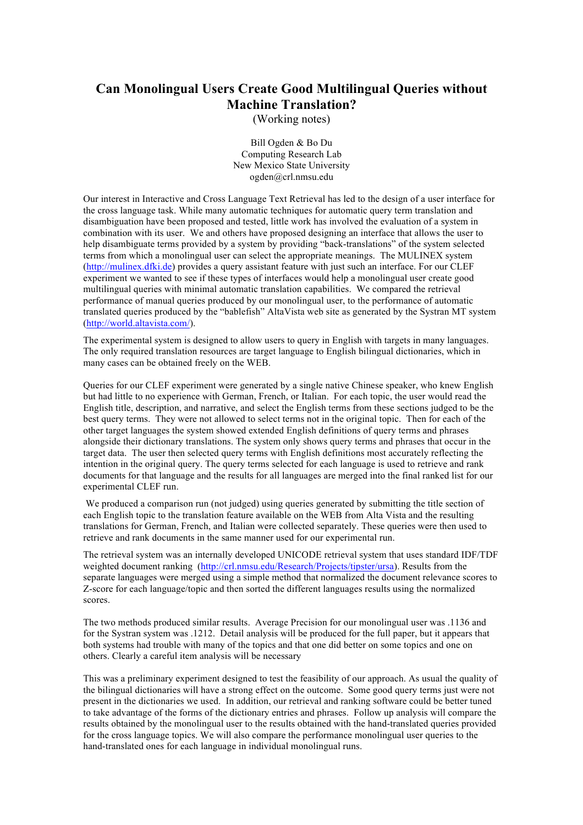## **Can Monolingual Users Create Good Multilingual Queries without Machine Translation?**

(Working notes)

Bill Ogden & Bo Du Computing Research Lab New Mexico State University ogden@crl.nmsu.edu

Our interest in Interactive and Cross Language Text Retrieval has led to the design of a user interface for the cross language task. While many automatic techniques for automatic query term translation and disambiguation have been proposed and tested, little work has involved the evaluation of a system in combination with its user. We and others have proposed designing an interface that allows the user to help disambiguate terms provided by a system by providing "back-translations" of the system selected terms from which a monolingual user can select the appropriate meanings. The MULINEX system (http://mulinex.dfki.de) provides a query assistant feature with just such an interface. For our CLEF experiment we wanted to see if these types of interfaces would help a monolingual user create good multilingual queries with minimal automatic translation capabilities. We compared the retrieval performance of manual queries produced by our monolingual user, to the performance of automatic translated queries produced by the "bablefish" AltaVista web site as generated by the Systran MT system (http://world.altavista.com/).

The experimental system is designed to allow users to query in English with targets in many languages. The only required translation resources are target language to English bilingual dictionaries, which in many cases can be obtained freely on the WEB.

Queries for our CLEF experiment were generated by a single native Chinese speaker, who knew English but had little to no experience with German, French, or Italian. For each topic, the user would read the English title, description, and narrative, and select the English terms from these sections judged to be the best query terms. They were not allowed to select terms not in the original topic. Then for each of the other target languages the system showed extended English definitions of query terms and phrases alongside their dictionary translations. The system only shows query terms and phrases that occur in the target data. The user then selected query terms with English definitions most accurately reflecting the intention in the original query. The query terms selected for each language is used to retrieve and rank documents for that language and the results for all languages are merged into the final ranked list for our experimental CLEF run.

We produced a comparison run (not judged) using queries generated by submitting the title section of each English topic to the translation feature available on the WEB from Alta Vista and the resulting translations for German, French, and Italian were collected separately. These queries were then used to retrieve and rank documents in the same manner used for our experimental run.

The retrieval system was an internally developed UNICODE retrieval system that uses standard IDF/TDF weighted document ranking (http://crl.nmsu.edu/Research/Projects/tipster/ursa). Results from the separate languages were merged using a simple method that normalized the document relevance scores to Z-score for each language/topic and then sorted the different languages results using the normalized scores.

The two methods produced similar results. Average Precision for our monolingual user was .1136 and for the Systran system was .1212. Detail analysis will be produced for the full paper, but it appears that both systems had trouble with many of the topics and that one did better on some topics and one on others. Clearly a careful item analysis will be necessary

This was a preliminary experiment designed to test the feasibility of our approach. As usual the quality of the bilingual dictionaries will have a strong effect on the outcome. Some good query terms just were not present in the dictionaries we used. In addition, our retrieval and ranking software could be better tuned to take advantage of the forms of the dictionary entries and phrases. Follow up analysis will compare the results obtained by the monolingual user to the results obtained with the hand-translated queries provided for the cross language topics. We will also compare the performance monolingual user queries to the hand-translated ones for each language in individual monolingual runs.